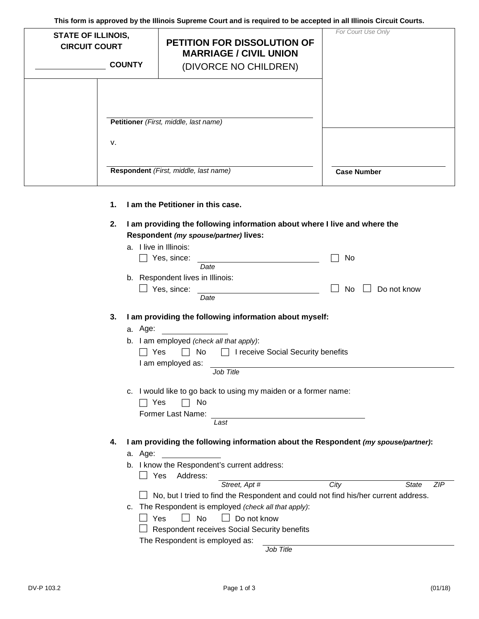**This form is approved by the Illinois Supreme Court and is required to be accepted in all Illinois Circuit Courts.**

| <b>STATE OF ILLINOIS,</b><br><b>CIRCUIT COURT</b> | <b>COUNTY</b> | PETITION FOR DISSOLUTION OF<br><b>MARRIAGE / CIVIL UNION</b><br>(DIVORCE NO CHILDREN) | For Court Use Only |
|---------------------------------------------------|---------------|---------------------------------------------------------------------------------------|--------------------|
|                                                   |               | Petitioner (First, middle, last name)                                                 |                    |
|                                                   | V.            |                                                                                       |                    |
|                                                   |               | Respondent (First, middle, last name)                                                 | <b>Case Number</b> |

- **1. I am the Petitioner in this case.**
- **2. I am providing the following information about where I live and where the Respondent** *(my spouse/partner)* **lives:**

|    | I live in Illinois:<br>a.                                                                                    |      |                     |  |  |  |
|----|--------------------------------------------------------------------------------------------------------------|------|---------------------|--|--|--|
|    | Yes, since:                                                                                                  | No   |                     |  |  |  |
|    | Date                                                                                                         |      |                     |  |  |  |
|    | b. Respondent lives in Illinois:                                                                             |      |                     |  |  |  |
|    | Yes, since:                                                                                                  | No   | Do not know         |  |  |  |
|    | Date                                                                                                         |      |                     |  |  |  |
| 3. | I am providing the following information about myself:                                                       |      |                     |  |  |  |
|    | a. Age:                                                                                                      |      |                     |  |  |  |
|    | b. I am employed (check all that apply):                                                                     |      |                     |  |  |  |
|    | No.<br>I receive Social Security benefits<br>Yes                                                             |      |                     |  |  |  |
|    | I am employed as:                                                                                            |      |                     |  |  |  |
|    | Job Title                                                                                                    |      |                     |  |  |  |
|    | I would like to go back to using my maiden or a former name:<br>c.<br>No<br>Yes<br>Former Last Name:<br>Last |      |                     |  |  |  |
| 4. | I am providing the following information about the Respondent (my spouse/partner):                           |      |                     |  |  |  |
|    | a. Age:                                                                                                      |      |                     |  |  |  |
|    | b. I know the Respondent's current address:                                                                  |      |                     |  |  |  |
|    | Address:<br>Yes                                                                                              |      |                     |  |  |  |
|    | Street, Apt #                                                                                                | City | ZIP<br><b>State</b> |  |  |  |
|    | No, but I tried to find the Respondent and could not find his/her current address.                           |      |                     |  |  |  |
|    | The Respondent is employed (check all that apply):<br>C.                                                     |      |                     |  |  |  |
|    | Yes<br><b>No</b><br>Do not know                                                                              |      |                     |  |  |  |
|    | Respondent receives Social Security benefits                                                                 |      |                     |  |  |  |
|    | The Respondent is employed as:                                                                               |      |                     |  |  |  |
|    | Job Title                                                                                                    |      |                     |  |  |  |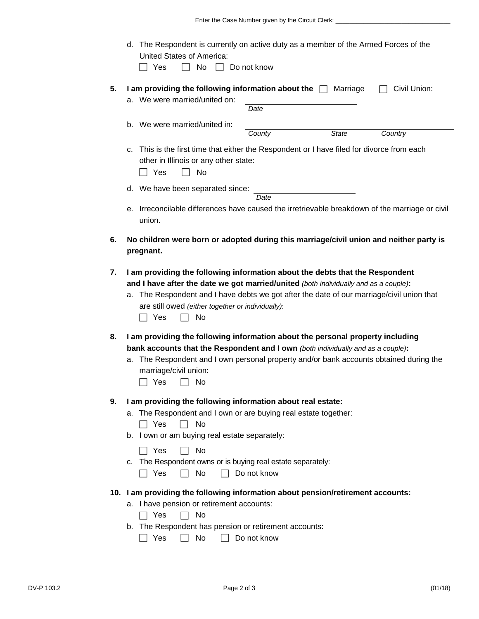|    | d. The Respondent is currently on active duty as a member of the Armed Forces of the                                                                                 |  |  |  |  |  |
|----|----------------------------------------------------------------------------------------------------------------------------------------------------------------------|--|--|--|--|--|
|    | <b>United States of America:</b><br>Yes<br>No<br>Do not know                                                                                                         |  |  |  |  |  |
|    |                                                                                                                                                                      |  |  |  |  |  |
| 5. | I am providing the following information about the $\Box$<br>Marriage<br>Civil Union:<br>a. We were married/united on:                                               |  |  |  |  |  |
|    | Date                                                                                                                                                                 |  |  |  |  |  |
|    | b. We were married/united in:<br><b>State</b><br>Country<br>County                                                                                                   |  |  |  |  |  |
|    |                                                                                                                                                                      |  |  |  |  |  |
|    | c. This is the first time that either the Respondent or I have filed for divorce from each<br>other in Illinois or any other state:<br>Yes<br>No                     |  |  |  |  |  |
|    | d. We have been separated since:                                                                                                                                     |  |  |  |  |  |
|    | Date                                                                                                                                                                 |  |  |  |  |  |
|    | e. Irreconcilable differences have caused the irretrievable breakdown of the marriage or civil<br>union.                                                             |  |  |  |  |  |
| 6. | No children were born or adopted during this marriage/civil union and neither party is<br>pregnant.                                                                  |  |  |  |  |  |
|    |                                                                                                                                                                      |  |  |  |  |  |
| 7. | I am providing the following information about the debts that the Respondent<br>and I have after the date we got married/united (both individually and as a couple): |  |  |  |  |  |
|    | a. The Respondent and I have debts we got after the date of our marriage/civil union that                                                                            |  |  |  |  |  |
|    | are still owed (either together or individually):                                                                                                                    |  |  |  |  |  |
|    | Yes<br>No                                                                                                                                                            |  |  |  |  |  |
| 8. | I am providing the following information about the personal property including                                                                                       |  |  |  |  |  |
|    | bank accounts that the Respondent and I own (both individually and as a couple):                                                                                     |  |  |  |  |  |
|    | a. The Respondent and I own personal property and/or bank accounts obtained during the<br>marriage/civil union:                                                      |  |  |  |  |  |
|    | Yes<br>No                                                                                                                                                            |  |  |  |  |  |
| 9. | I am providing the following information about real estate:                                                                                                          |  |  |  |  |  |
|    | a. The Respondent and I own or are buying real estate together:                                                                                                      |  |  |  |  |  |
|    | Yes<br>No                                                                                                                                                            |  |  |  |  |  |
|    | b. I own or am buying real estate separately:                                                                                                                        |  |  |  |  |  |
|    | Yes<br>No<br>c. The Respondent owns or is buying real estate separately:                                                                                             |  |  |  |  |  |
|    | No<br>Do not know<br>Yes                                                                                                                                             |  |  |  |  |  |
|    | 10. I am providing the following information about pension/retirement accounts:                                                                                      |  |  |  |  |  |
|    | a. I have pension or retirement accounts:                                                                                                                            |  |  |  |  |  |
|    | Yes<br>No                                                                                                                                                            |  |  |  |  |  |
|    | b. The Respondent has pension or retirement accounts:                                                                                                                |  |  |  |  |  |
|    | Yes<br>No<br>Do not know                                                                                                                                             |  |  |  |  |  |